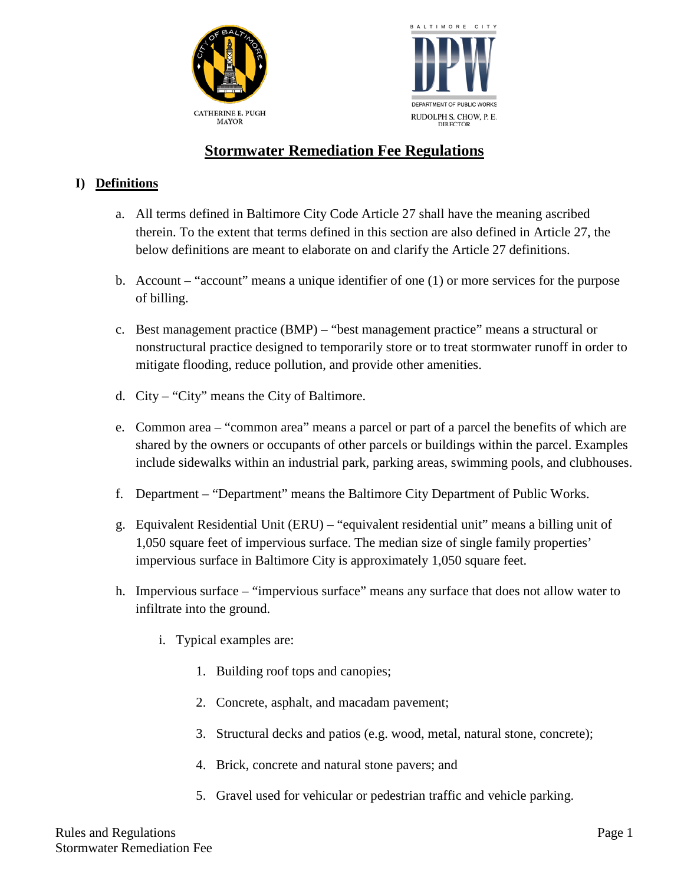



# **Stormwater Remediation Fee Regulations**

## **I) Definitions**

- a. All terms defined in Baltimore City Code Article 27 shall have the meaning ascribed therein. To the extent that terms defined in this section are also defined in Article 27, the below definitions are meant to elaborate on and clarify the Article 27 definitions.
- b. Account "account" means a unique identifier of one (1) or more services for the purpose of billing.
- c. Best management practice (BMP) "best management practice" means a structural or nonstructural practice designed to temporarily store or to treat stormwater runoff in order to mitigate flooding, reduce pollution, and provide other amenities.
- d. City "City" means the City of Baltimore.
- e. Common area "common area" means a parcel or part of a parcel the benefits of which are shared by the owners or occupants of other parcels or buildings within the parcel. Examples include sidewalks within an industrial park, parking areas, swimming pools, and clubhouses.
- f. Department "Department" means the Baltimore City Department of Public Works.
- g. Equivalent Residential Unit (ERU) "equivalent residential unit" means a billing unit of 1,050 square feet of impervious surface. The median size of single family properties' impervious surface in Baltimore City is approximately 1,050 square feet.
- h. Impervious surface "impervious surface" means any surface that does not allow water to infiltrate into the ground.
	- i. Typical examples are:
		- 1. Building roof tops and canopies;
		- 2. Concrete, asphalt, and macadam pavement;
		- 3. Structural decks and patios (e.g. wood, metal, natural stone, concrete);
		- 4. Brick, concrete and natural stone pavers; and
		- 5. Gravel used for vehicular or pedestrian traffic and vehicle parking.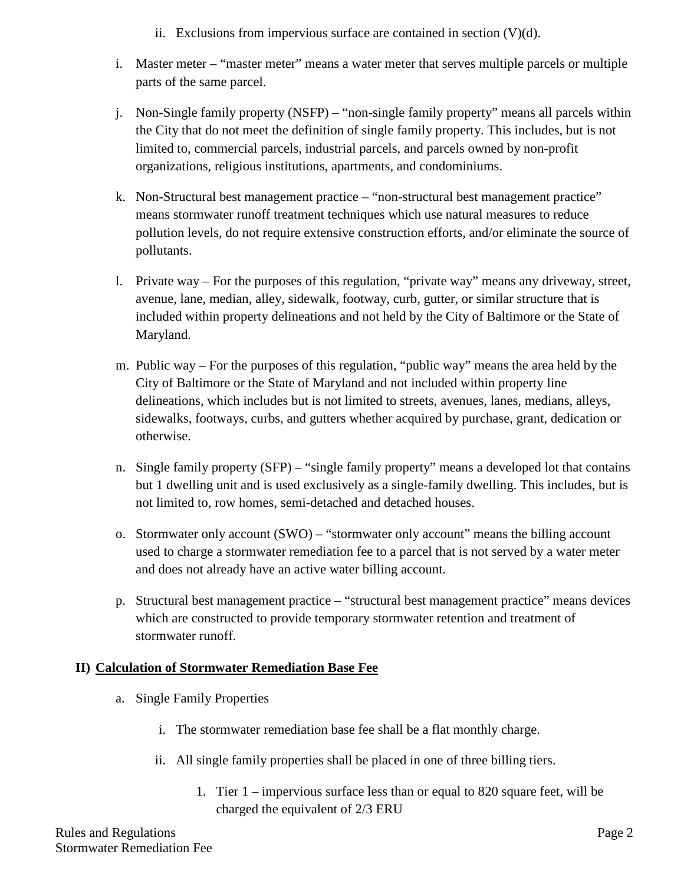- ii. Exclusions from impervious surface are contained in section  $(V)(d)$ .
- i. Master meter "master meter" means a water meter that serves multiple parcels or multiple parts of the same parcel.
- j. Non-Single family property (NSFP) "non-single family property" means all parcels within the City that do not meet the definition of single family property. This includes, but is not limited to, commercial parcels, industrial parcels, and parcels owned by non-profit organizations, religious institutions, apartments, and condominiums.
- k. Non-Structural best management practice "non-structural best management practice" means stormwater runoff treatment techniques which use natural measures to reduce pollution levels, do not require extensive construction efforts, and/or eliminate the source of pollutants.
- l. Private way For the purposes of this regulation, "private way" means any driveway, street, avenue, lane, median, alley, sidewalk, footway, curb, gutter, or similar structure that is included within property delineations and not held by the City of Baltimore or the State of Maryland.
- m. Public way For the purposes of this regulation, "public way" means the area held by the City of Baltimore or the State of Maryland and not included within property line delineations, which includes but is not limited to streets, avenues, lanes, medians, alleys, sidewalks, footways, curbs, and gutters whether acquired by purchase, grant, dedication or otherwise.
- n. Single family property (SFP) "single family property" means a developed lot that contains but 1 dwelling unit and is used exclusively as a single-family dwelling. This includes, but is not limited to, row homes, semi-detached and detached houses.
- o. Stormwater only account (SWO) "stormwater only account" means the billing account used to charge a stormwater remediation fee to a parcel that is not served by a water meter and does not already have an active water billing account.
- p. Structural best management practice "structural best management practice" means devices which are constructed to provide temporary stormwater retention and treatment of stormwater runoff.

# **II) Calculation of Stormwater Remediation Base Fee**

- a. Single Family Properties
	- i. The stormwater remediation base fee shall be a flat monthly charge.
	- ii. All single family properties shall be placed in one of three billing tiers.
		- 1. Tier 1 impervious surface less than or equal to 820 square feet, will be charged the equivalent of 2/3 ERU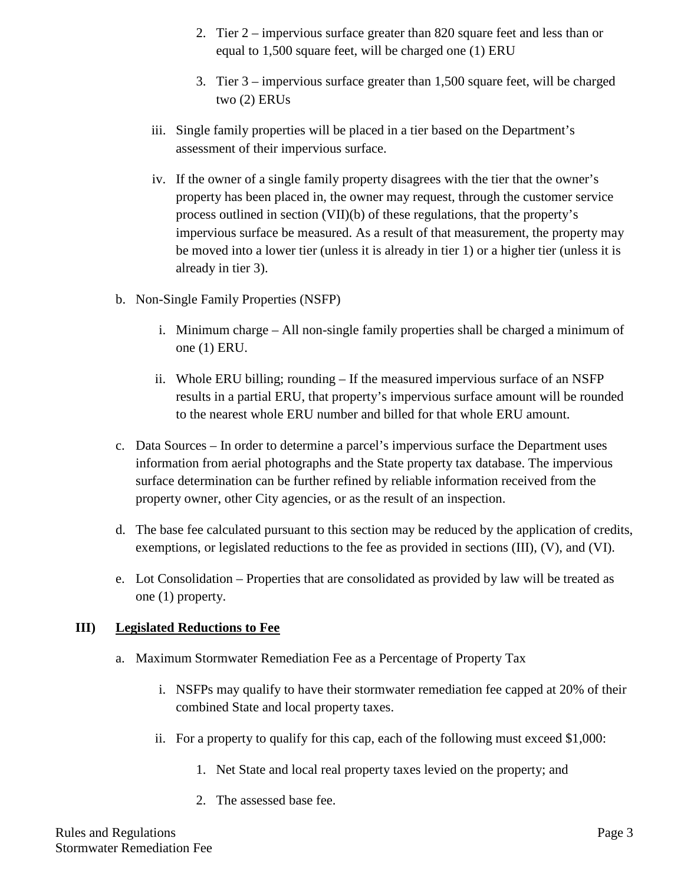- 2. Tier 2 impervious surface greater than 820 square feet and less than or equal to 1,500 square feet, will be charged one (1) ERU
- 3. Tier 3 impervious surface greater than 1,500 square feet, will be charged two (2) ERUs
- iii. Single family properties will be placed in a tier based on the Department's assessment of their impervious surface.
- iv. If the owner of a single family property disagrees with the tier that the owner's property has been placed in, the owner may request, through the customer service process outlined in section (VII)(b) of these regulations, that the property's impervious surface be measured. As a result of that measurement, the property may be moved into a lower tier (unless it is already in tier 1) or a higher tier (unless it is already in tier 3).
- b. Non-Single Family Properties (NSFP)
	- i. Minimum charge All non-single family properties shall be charged a minimum of one (1) ERU.
	- ii. Whole ERU billing; rounding If the measured impervious surface of an NSFP results in a partial ERU, that property's impervious surface amount will be rounded to the nearest whole ERU number and billed for that whole ERU amount.
- c. Data Sources In order to determine a parcel's impervious surface the Department uses information from aerial photographs and the State property tax database. The impervious surface determination can be further refined by reliable information received from the property owner, other City agencies, or as the result of an inspection.
- d. The base fee calculated pursuant to this section may be reduced by the application of credits, exemptions, or legislated reductions to the fee as provided in sections (III), (V), and (VI).
- e. Lot Consolidation Properties that are consolidated as provided by law will be treated as one (1) property.

## **III) Legislated Reductions to Fee**

- a. Maximum Stormwater Remediation Fee as a Percentage of Property Tax
	- i. NSFPs may qualify to have their stormwater remediation fee capped at 20% of their combined State and local property taxes.
	- ii. For a property to qualify for this cap, each of the following must exceed \$1,000:
		- 1. Net State and local real property taxes levied on the property; and
		- 2. The assessed base fee.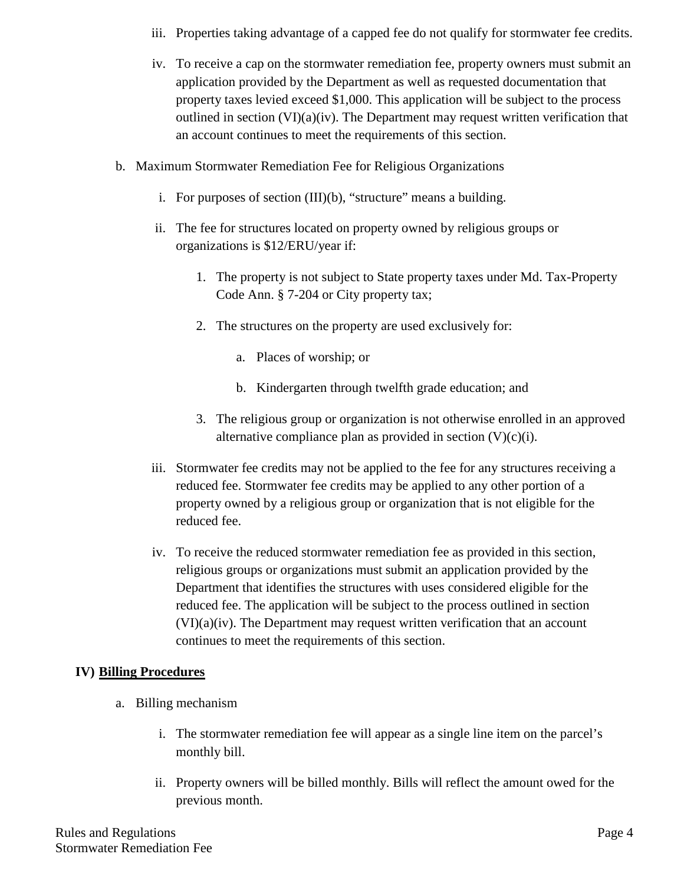- iii. Properties taking advantage of a capped fee do not qualify for stormwater fee credits.
- iv. To receive a cap on the stormwater remediation fee, property owners must submit an application provided by the Department as well as requested documentation that property taxes levied exceed \$1,000. This application will be subject to the process outlined in section  $(VI)(a)(iv)$ . The Department may request written verification that an account continues to meet the requirements of this section.
- b. Maximum Stormwater Remediation Fee for Religious Organizations
	- i. For purposes of section (III)(b), "structure" means a building.
	- ii. The fee for structures located on property owned by religious groups or organizations is \$12/ERU/year if:
		- 1. The property is not subject to State property taxes under Md. Tax-Property Code Ann. § 7-204 or City property tax;
		- 2. The structures on the property are used exclusively for:
			- a. Places of worship; or
			- b. Kindergarten through twelfth grade education; and
		- 3. The religious group or organization is not otherwise enrolled in an approved alternative compliance plan as provided in section  $(V)(c)(i)$ .
	- iii. Stormwater fee credits may not be applied to the fee for any structures receiving a reduced fee. Stormwater fee credits may be applied to any other portion of a property owned by a religious group or organization that is not eligible for the reduced fee.
	- iv. To receive the reduced stormwater remediation fee as provided in this section, religious groups or organizations must submit an application provided by the Department that identifies the structures with uses considered eligible for the reduced fee. The application will be subject to the process outlined in section (VI)(a)(iv). The Department may request written verification that an account continues to meet the requirements of this section.

# **IV) Billing Procedures**

- a. Billing mechanism
	- i. The stormwater remediation fee will appear as a single line item on the parcel's monthly bill.
	- ii. Property owners will be billed monthly. Bills will reflect the amount owed for the previous month.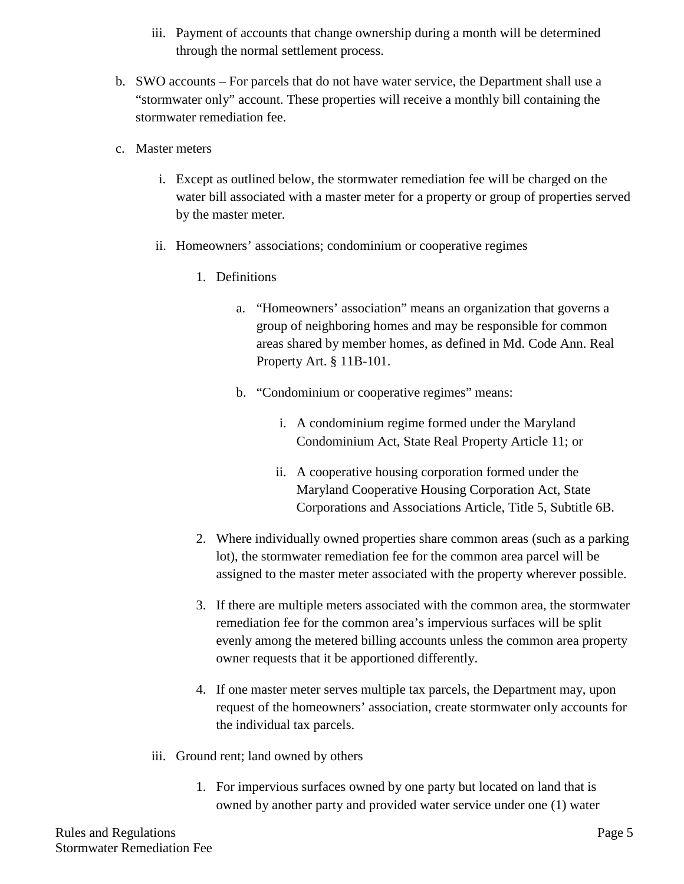- iii. Payment of accounts that change ownership during a month will be determined through the normal settlement process.
- b. SWO accounts For parcels that do not have water service, the Department shall use a "stormwater only" account. These properties will receive a monthly bill containing the stormwater remediation fee.
- c. Master meters
	- i. Except as outlined below, the stormwater remediation fee will be charged on the water bill associated with a master meter for a property or group of properties served by the master meter.
	- ii. Homeowners' associations; condominium or cooperative regimes
		- 1. Definitions
			- a. "Homeowners' association" means an organization that governs a group of neighboring homes and may be responsible for common areas shared by member homes, as defined in Md. Code Ann. Real Property Art. § 11B-101.
			- b. "Condominium or cooperative regimes" means:
				- i. A condominium regime formed under the Maryland Condominium Act, State Real Property Article 11; or
				- ii. A cooperative housing corporation formed under the Maryland Cooperative Housing Corporation Act, State Corporations and Associations Article, Title 5, Subtitle 6B.
		- 2. Where individually owned properties share common areas (such as a parking lot), the stormwater remediation fee for the common area parcel will be assigned to the master meter associated with the property wherever possible.
		- 3. If there are multiple meters associated with the common area, the stormwater remediation fee for the common area's impervious surfaces will be split evenly among the metered billing accounts unless the common area property owner requests that it be apportioned differently.
		- 4. If one master meter serves multiple tax parcels, the Department may, upon request of the homeowners' association, create stormwater only accounts for the individual tax parcels.
	- iii. Ground rent; land owned by others
		- 1. For impervious surfaces owned by one party but located on land that is owned by another party and provided water service under one (1) water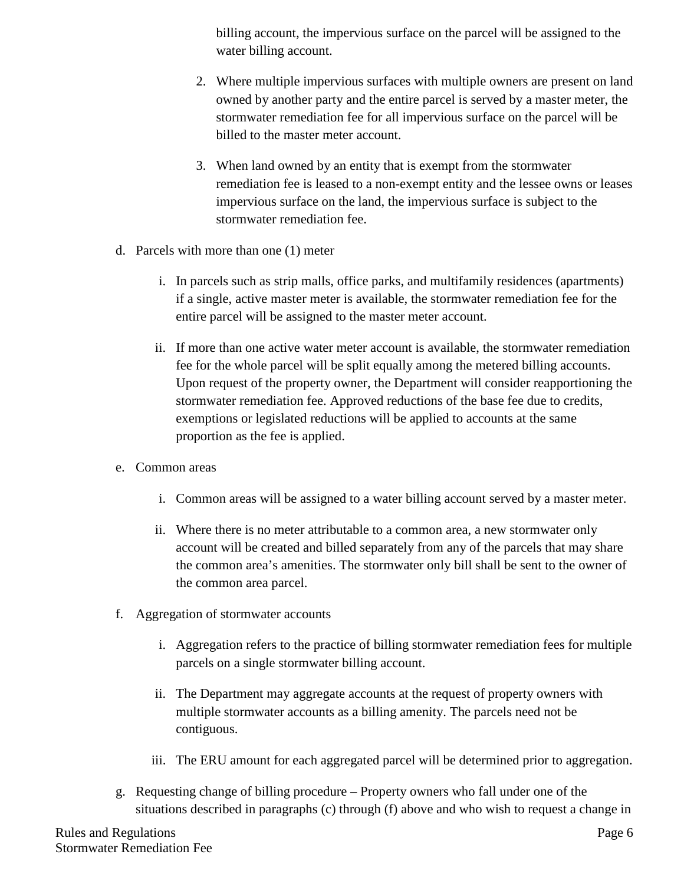billing account, the impervious surface on the parcel will be assigned to the water billing account.

- 2. Where multiple impervious surfaces with multiple owners are present on land owned by another party and the entire parcel is served by a master meter, the stormwater remediation fee for all impervious surface on the parcel will be billed to the master meter account.
- 3. When land owned by an entity that is exempt from the stormwater remediation fee is leased to a non-exempt entity and the lessee owns or leases impervious surface on the land, the impervious surface is subject to the stormwater remediation fee.
- d. Parcels with more than one (1) meter
	- i. In parcels such as strip malls, office parks, and multifamily residences (apartments) if a single, active master meter is available, the stormwater remediation fee for the entire parcel will be assigned to the master meter account.
	- ii. If more than one active water meter account is available, the stormwater remediation fee for the whole parcel will be split equally among the metered billing accounts. Upon request of the property owner, the Department will consider reapportioning the stormwater remediation fee. Approved reductions of the base fee due to credits, exemptions or legislated reductions will be applied to accounts at the same proportion as the fee is applied.
- e. Common areas
	- i. Common areas will be assigned to a water billing account served by a master meter.
	- ii. Where there is no meter attributable to a common area, a new stormwater only account will be created and billed separately from any of the parcels that may share the common area's amenities. The stormwater only bill shall be sent to the owner of the common area parcel.
- f. Aggregation of stormwater accounts
	- i. Aggregation refers to the practice of billing stormwater remediation fees for multiple parcels on a single stormwater billing account.
	- ii. The Department may aggregate accounts at the request of property owners with multiple stormwater accounts as a billing amenity. The parcels need not be contiguous.
	- iii. The ERU amount for each aggregated parcel will be determined prior to aggregation.
- g. Requesting change of billing procedure Property owners who fall under one of the situations described in paragraphs (c) through (f) above and who wish to request a change in

Rules and Regulations **Page 6** Stormwater Remediation Fee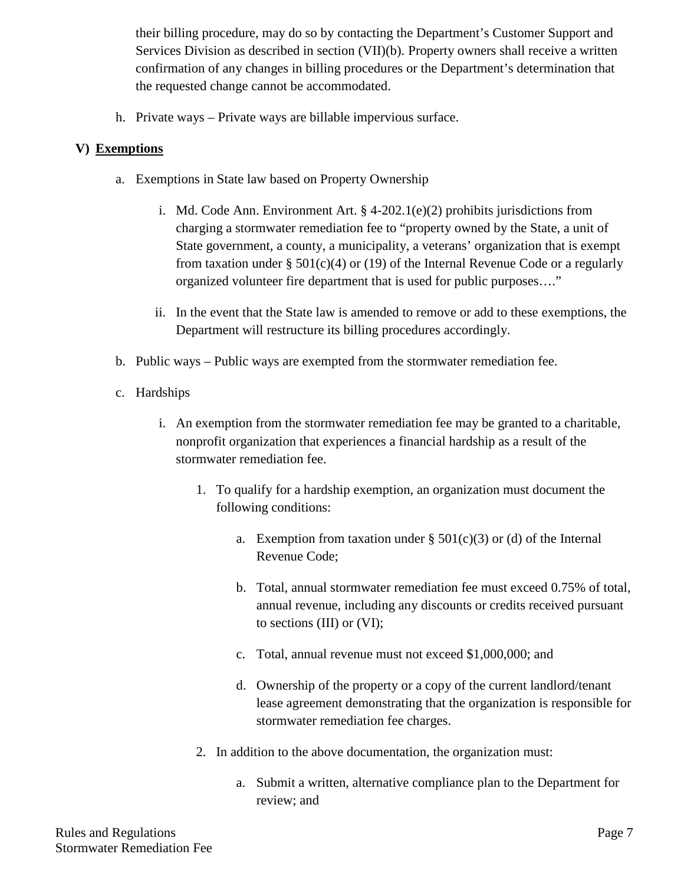their billing procedure, may do so by contacting the Department's Customer Support and Services Division as described in section (VII)(b). Property owners shall receive a written confirmation of any changes in billing procedures or the Department's determination that the requested change cannot be accommodated.

h. Private ways – Private ways are billable impervious surface.

## **V) Exemptions**

- a. Exemptions in State law based on Property Ownership
	- i. Md. Code Ann. Environment Art. § 4-202.1(e)(2) prohibits jurisdictions from charging a stormwater remediation fee to "property owned by the State, a unit of State government, a county, a municipality, a veterans' organization that is exempt from taxation under § 501(c)(4) or (19) of the Internal Revenue Code or a regularly organized volunteer fire department that is used for public purposes…."
	- ii. In the event that the State law is amended to remove or add to these exemptions, the Department will restructure its billing procedures accordingly.
- b. Public ways Public ways are exempted from the stormwater remediation fee.
- c. Hardships
	- i. An exemption from the stormwater remediation fee may be granted to a charitable, nonprofit organization that experiences a financial hardship as a result of the stormwater remediation fee.
		- 1. To qualify for a hardship exemption, an organization must document the following conditions:
			- a. Exemption from taxation under  $\S 501(c)(3)$  or (d) of the Internal Revenue Code;
			- b. Total, annual stormwater remediation fee must exceed 0.75% of total, annual revenue, including any discounts or credits received pursuant to sections (III) or (VI);
			- c. Total, annual revenue must not exceed \$1,000,000; and
			- d. Ownership of the property or a copy of the current landlord/tenant lease agreement demonstrating that the organization is responsible for stormwater remediation fee charges.
		- 2. In addition to the above documentation, the organization must:
			- a. Submit a written, alternative compliance plan to the Department for review; and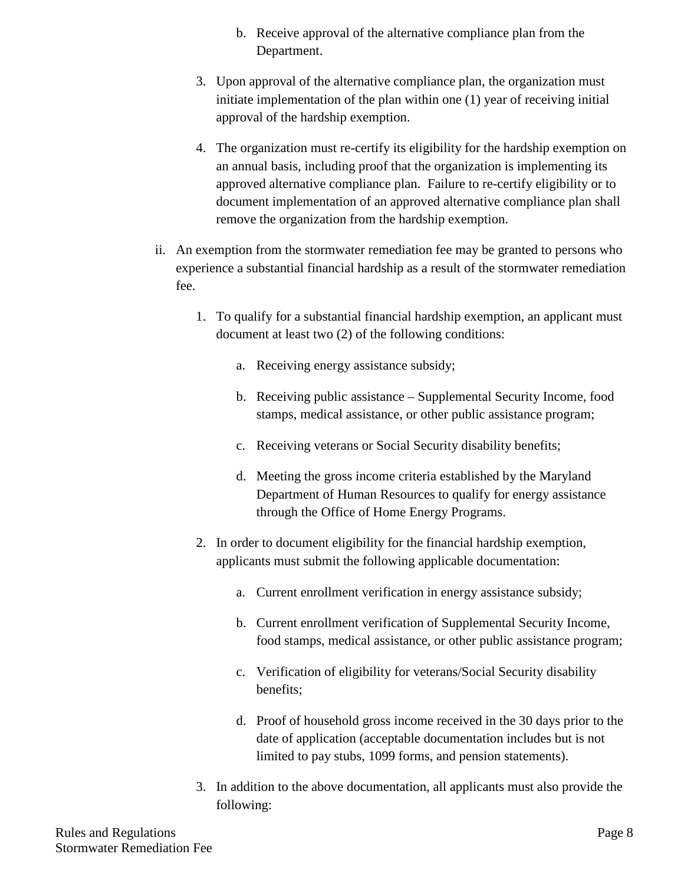- b. Receive approval of the alternative compliance plan from the Department.
- 3. Upon approval of the alternative compliance plan, the organization must initiate implementation of the plan within one (1) year of receiving initial approval of the hardship exemption.
- 4. The organization must re-certify its eligibility for the hardship exemption on an annual basis, including proof that the organization is implementing its approved alternative compliance plan. Failure to re-certify eligibility or to document implementation of an approved alternative compliance plan shall remove the organization from the hardship exemption.
- ii. An exemption from the stormwater remediation fee may be granted to persons who experience a substantial financial hardship as a result of the stormwater remediation fee.
	- 1. To qualify for a substantial financial hardship exemption, an applicant must document at least two (2) of the following conditions:
		- a. Receiving energy assistance subsidy;
		- b. Receiving public assistance Supplemental Security Income, food stamps, medical assistance, or other public assistance program;
		- c. Receiving veterans or Social Security disability benefits;
		- d. Meeting the gross income criteria established by the Maryland Department of Human Resources to qualify for energy assistance through the Office of Home Energy Programs.
	- 2. In order to document eligibility for the financial hardship exemption, applicants must submit the following applicable documentation:
		- a. Current enrollment verification in energy assistance subsidy;
		- b. Current enrollment verification of Supplemental Security Income, food stamps, medical assistance, or other public assistance program;
		- c. Verification of eligibility for veterans/Social Security disability benefits;
		- d. Proof of household gross income received in the 30 days prior to the date of application (acceptable documentation includes but is not limited to pay stubs, 1099 forms, and pension statements).
	- 3. In addition to the above documentation, all applicants must also provide the following: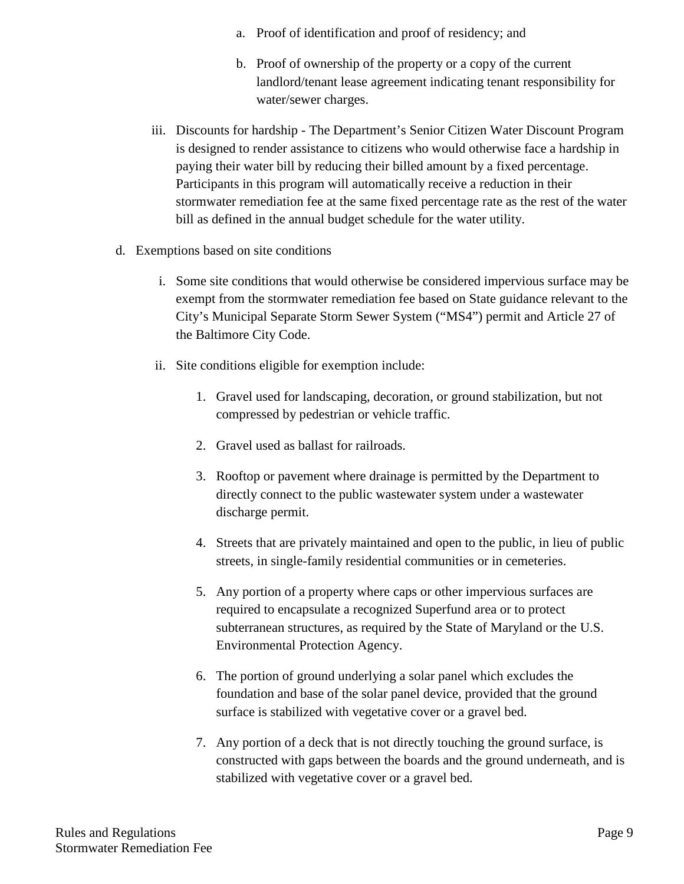- a. Proof of identification and proof of residency; and
- b. Proof of ownership of the property or a copy of the current landlord/tenant lease agreement indicating tenant responsibility for water/sewer charges.
- iii. Discounts for hardship The Department's Senior Citizen Water Discount Program is designed to render assistance to citizens who would otherwise face a hardship in paying their water bill by reducing their billed amount by a fixed percentage. Participants in this program will automatically receive a reduction in their stormwater remediation fee at the same fixed percentage rate as the rest of the water bill as defined in the annual budget schedule for the water utility.
- d. Exemptions based on site conditions
	- i. Some site conditions that would otherwise be considered impervious surface may be exempt from the stormwater remediation fee based on State guidance relevant to the City's Municipal Separate Storm Sewer System ("MS4") permit and Article 27 of the Baltimore City Code.
	- ii. Site conditions eligible for exemption include:
		- 1. Gravel used for landscaping, decoration, or ground stabilization, but not compressed by pedestrian or vehicle traffic.
		- 2. Gravel used as ballast for railroads.
		- 3. Rooftop or pavement where drainage is permitted by the Department to directly connect to the public wastewater system under a wastewater discharge permit.
		- 4. Streets that are privately maintained and open to the public, in lieu of public streets, in single-family residential communities or in cemeteries.
		- 5. Any portion of a property where caps or other impervious surfaces are required to encapsulate a recognized Superfund area or to protect subterranean structures, as required by the State of Maryland or the U.S. Environmental Protection Agency.
		- 6. The portion of ground underlying a solar panel which excludes the foundation and base of the solar panel device, provided that the ground surface is stabilized with vegetative cover or a gravel bed.
		- 7. Any portion of a deck that is not directly touching the ground surface, is constructed with gaps between the boards and the ground underneath, and is stabilized with vegetative cover or a gravel bed.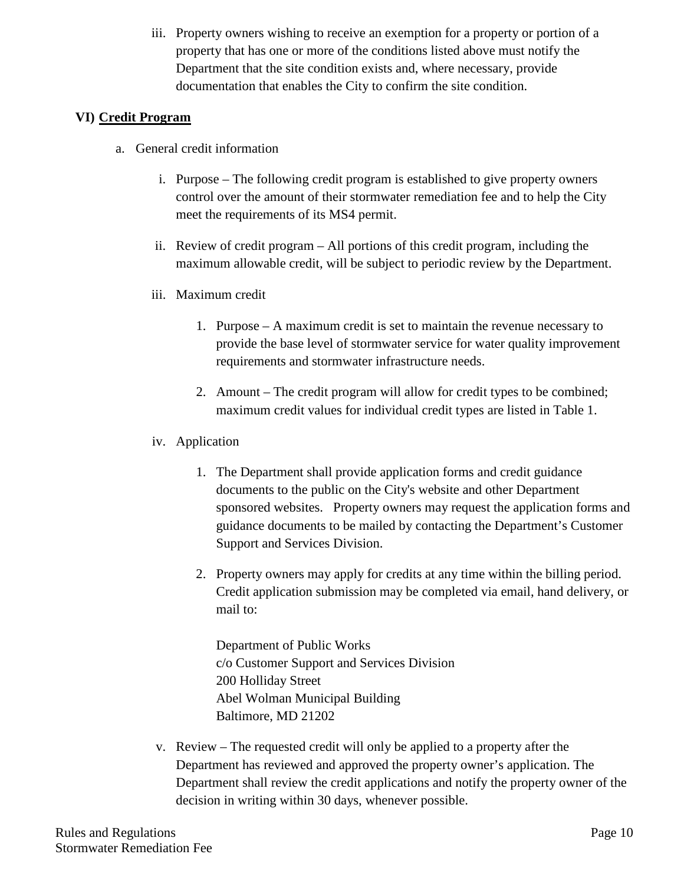iii. Property owners wishing to receive an exemption for a property or portion of a property that has one or more of the conditions listed above must notify the Department that the site condition exists and, where necessary, provide documentation that enables the City to confirm the site condition.

## **VI) Credit Program**

- a. General credit information
	- i. Purpose The following credit program is established to give property owners control over the amount of their stormwater remediation fee and to help the City meet the requirements of its MS4 permit.
	- ii. Review of credit program All portions of this credit program, including the maximum allowable credit, will be subject to periodic review by the Department.
	- iii. Maximum credit
		- 1. Purpose A maximum credit is set to maintain the revenue necessary to provide the base level of stormwater service for water quality improvement requirements and stormwater infrastructure needs.
		- 2. Amount The credit program will allow for credit types to be combined; maximum credit values for individual credit types are listed in Table 1.
	- iv. Application
		- 1. The Department shall provide application forms and credit guidance documents to the public on the City's website and other Department sponsored websites. Property owners may request the application forms and guidance documents to be mailed by contacting the Department's Customer Support and Services Division.
		- 2. Property owners may apply for credits at any time within the billing period. Credit application submission may be completed via email, hand delivery, or mail to:

Department of Public Works c/o Customer Support and Services Division 200 Holliday Street Abel Wolman Municipal Building Baltimore, MD 21202

v. Review – The requested credit will only be applied to a property after the Department has reviewed and approved the property owner's application. The Department shall review the credit applications and notify the property owner of the decision in writing within 30 days, whenever possible.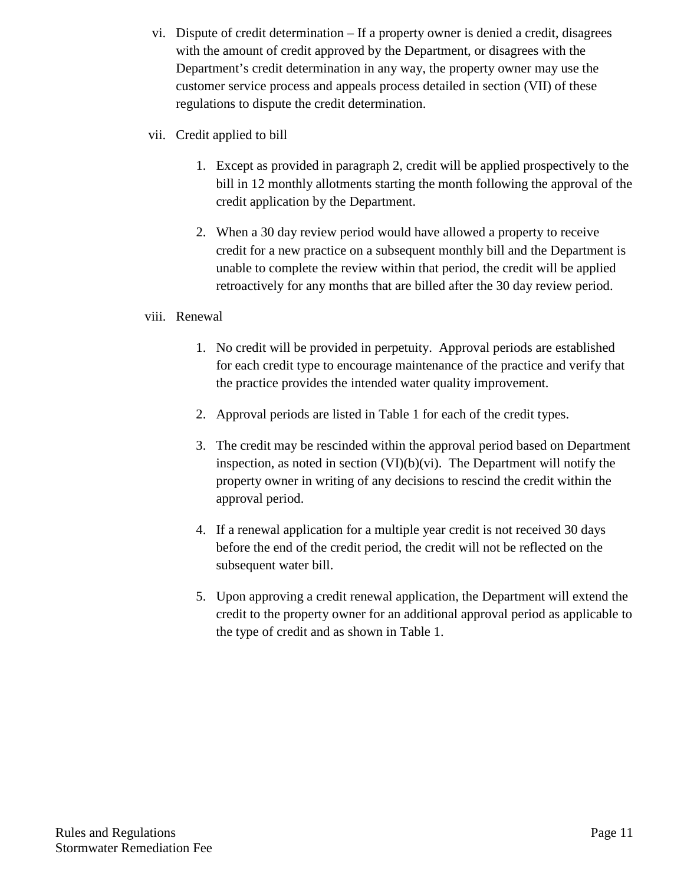- vi. Dispute of credit determination If a property owner is denied a credit, disagrees with the amount of credit approved by the Department, or disagrees with the Department's credit determination in any way, the property owner may use the customer service process and appeals process detailed in section (VII) of these regulations to dispute the credit determination.
- vii. Credit applied to bill
	- 1. Except as provided in paragraph 2, credit will be applied prospectively to the bill in 12 monthly allotments starting the month following the approval of the credit application by the Department.
	- 2. When a 30 day review period would have allowed a property to receive credit for a new practice on a subsequent monthly bill and the Department is unable to complete the review within that period, the credit will be applied retroactively for any months that are billed after the 30 day review period.

## viii. Renewal

- 1. No credit will be provided in perpetuity. Approval periods are established for each credit type to encourage maintenance of the practice and verify that the practice provides the intended water quality improvement.
- 2. Approval periods are listed in Table 1 for each of the credit types.
- 3. The credit may be rescinded within the approval period based on Department inspection, as noted in section  $(VI)(b)(vi)$ . The Department will notify the property owner in writing of any decisions to rescind the credit within the approval period.
- 4. If a renewal application for a multiple year credit is not received 30 days before the end of the credit period, the credit will not be reflected on the subsequent water bill.
- 5. Upon approving a credit renewal application, the Department will extend the credit to the property owner for an additional approval period as applicable to the type of credit and as shown in Table 1.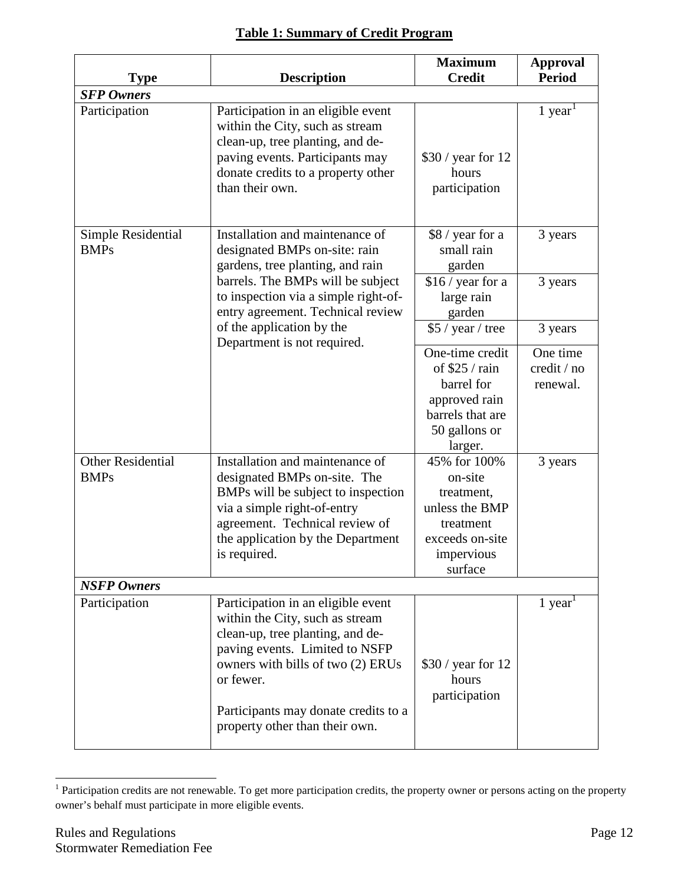|                                                    |                                                                                                                                                                                                                                                                         | <b>Maximum</b><br><b>Credit</b>                                                                                                   | <b>Approval</b>                                |  |
|----------------------------------------------------|-------------------------------------------------------------------------------------------------------------------------------------------------------------------------------------------------------------------------------------------------------------------------|-----------------------------------------------------------------------------------------------------------------------------------|------------------------------------------------|--|
| <b>Period</b><br><b>Description</b><br><b>Type</b> |                                                                                                                                                                                                                                                                         |                                                                                                                                   |                                                |  |
| <b>SFP Owners</b><br>Participation                 | Participation in an eligible event<br>within the City, such as stream<br>clean-up, tree planting, and de-<br>paving events. Participants may<br>donate credits to a property other<br>than their own.                                                                   | $$30 / year$ for 12<br>hours<br>participation                                                                                     | $1$ year <sup>1</sup>                          |  |
| Simple Residential<br><b>BMPs</b>                  | Installation and maintenance of<br>designated BMPs on-site: rain<br>gardens, tree planting, and rain<br>barrels. The BMPs will be subject<br>to inspection via a simple right-of-<br>entry agreement. Technical review<br>of the application by the                     | \$8 / year for a<br>small rain<br>garden<br>$$16 / year$ for a<br>large rain<br>garden                                            | 3 years<br>3 years                             |  |
|                                                    |                                                                                                                                                                                                                                                                         | \$5 / year / tree                                                                                                                 | 3 years                                        |  |
| <b>Other Residential</b>                           | Department is not required.<br>Installation and maintenance of                                                                                                                                                                                                          | One-time credit<br>of $$25 / rain$<br>barrel for<br>approved rain<br>barrels that are<br>50 gallons or<br>larger.<br>45% for 100% | One time<br>credit / no<br>renewal.<br>3 years |  |
| <b>BMPs</b>                                        | designated BMPs on-site. The<br>BMPs will be subject to inspection<br>via a simple right-of-entry<br>agreement. Technical review of<br>the application by the Department<br>is required.                                                                                | on-site<br>treatment,<br>unless the BMP<br>treatment<br>exceeds on-site<br>impervious<br>surface                                  |                                                |  |
| <b>NSFP Owners</b>                                 |                                                                                                                                                                                                                                                                         |                                                                                                                                   |                                                |  |
| Participation                                      | Participation in an eligible event<br>within the City, such as stream<br>clean-up, tree planting, and de-<br>paving events. Limited to NSFP<br>owners with bills of two (2) ERUs<br>or fewer.<br>Participants may donate credits to a<br>property other than their own. | $$30 / year$ for 12<br>hours<br>participation                                                                                     | $1$ year <sup>1</sup>                          |  |

<span id="page-11-0"></span><sup>&</sup>lt;sup>1</sup> Participation credits are not renewable. To get more participation credits, the property owner or persons acting on the property owner's behalf must participate in more eligible events.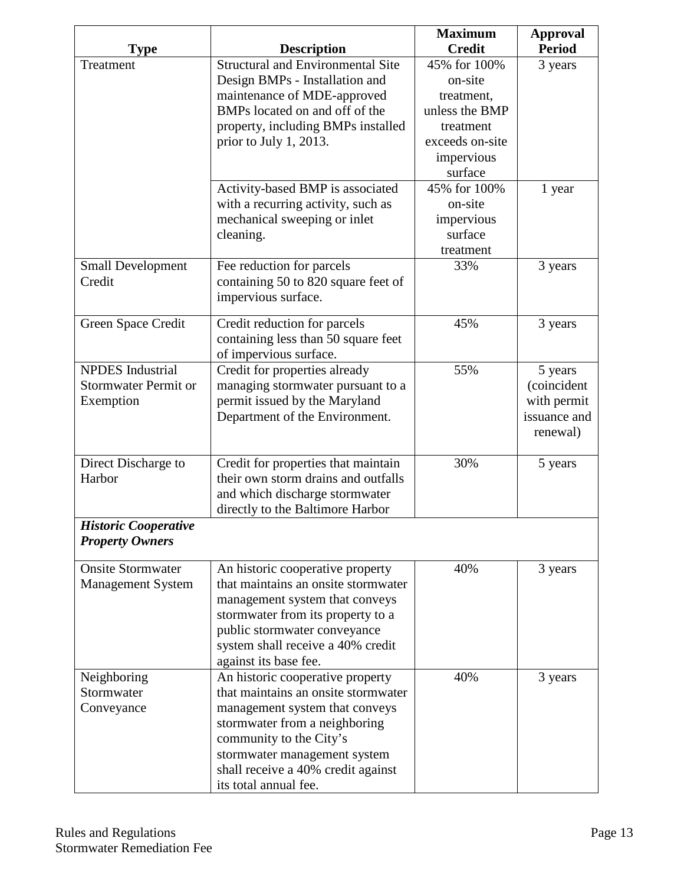|                             |                                                                         | <b>Maximum</b>  | <b>Approval</b> |
|-----------------------------|-------------------------------------------------------------------------|-----------------|-----------------|
| Type                        | <b>Description</b>                                                      | <b>Credit</b>   | <b>Period</b>   |
| Treatment                   | <b>Structural and Environmental Site</b>                                | 45% for 100%    | 3 years         |
|                             | Design BMPs - Installation and                                          | on-site         |                 |
|                             | maintenance of MDE-approved                                             | treatment,      |                 |
|                             | BMPs located on and off of the                                          | unless the BMP  |                 |
|                             | property, including BMPs installed                                      | treatment       |                 |
|                             | prior to July 1, 2013.                                                  | exceeds on-site |                 |
|                             |                                                                         | impervious      |                 |
|                             |                                                                         | surface         |                 |
|                             | Activity-based BMP is associated                                        | 45% for 100%    | 1 year          |
|                             | with a recurring activity, such as                                      | on-site         |                 |
|                             | mechanical sweeping or inlet                                            | impervious      |                 |
|                             | cleaning.                                                               | surface         |                 |
|                             |                                                                         | treatment       |                 |
| <b>Small Development</b>    | Fee reduction for parcels                                               | 33%             | 3 years         |
| Credit                      | containing 50 to 820 square feet of                                     |                 |                 |
|                             | impervious surface.                                                     |                 |                 |
| Green Space Credit          | Credit reduction for parcels                                            | 45%             | 3 years         |
|                             | containing less than 50 square feet                                     |                 |                 |
|                             | of impervious surface.                                                  |                 |                 |
| <b>NPDES</b> Industrial     | Credit for properties already                                           | 55%             | 5 years         |
| <b>Stormwater Permit or</b> | managing stormwater pursuant to a                                       |                 | (coincident     |
| Exemption                   | permit issued by the Maryland                                           |                 | with permit     |
|                             | Department of the Environment.                                          |                 | issuance and    |
|                             |                                                                         |                 | renewal)        |
|                             |                                                                         |                 |                 |
| Direct Discharge to         | Credit for properties that maintain                                     | 30%             | 5 years         |
| Harbor                      | their own storm drains and outfalls                                     |                 |                 |
|                             | and which discharge stormwater                                          |                 |                 |
|                             | directly to the Baltimore Harbor                                        |                 |                 |
| <b>Historic Cooperative</b> |                                                                         |                 |                 |
| <b>Property Owners</b>      |                                                                         |                 |                 |
|                             |                                                                         |                 |                 |
| <b>Onsite Stormwater</b>    | An historic cooperative property                                        | 40%             | 3 years         |
| <b>Management System</b>    | that maintains an onsite stormwater                                     |                 |                 |
|                             | management system that conveys                                          |                 |                 |
|                             | stormwater from its property to a                                       |                 |                 |
|                             | public stormwater conveyance                                            |                 |                 |
|                             | system shall receive a 40% credit                                       |                 |                 |
|                             | against its base fee.                                                   | 40%             |                 |
| Neighboring<br>Stormwater   | An historic cooperative property<br>that maintains an onsite stormwater |                 | 3 years         |
|                             |                                                                         |                 |                 |
| Conveyance                  | management system that conveys                                          |                 |                 |
|                             | stormwater from a neighboring                                           |                 |                 |
|                             | community to the City's                                                 |                 |                 |
|                             | stormwater management system                                            |                 |                 |
|                             | shall receive a 40% credit against                                      |                 |                 |
|                             | its total annual fee.                                                   |                 |                 |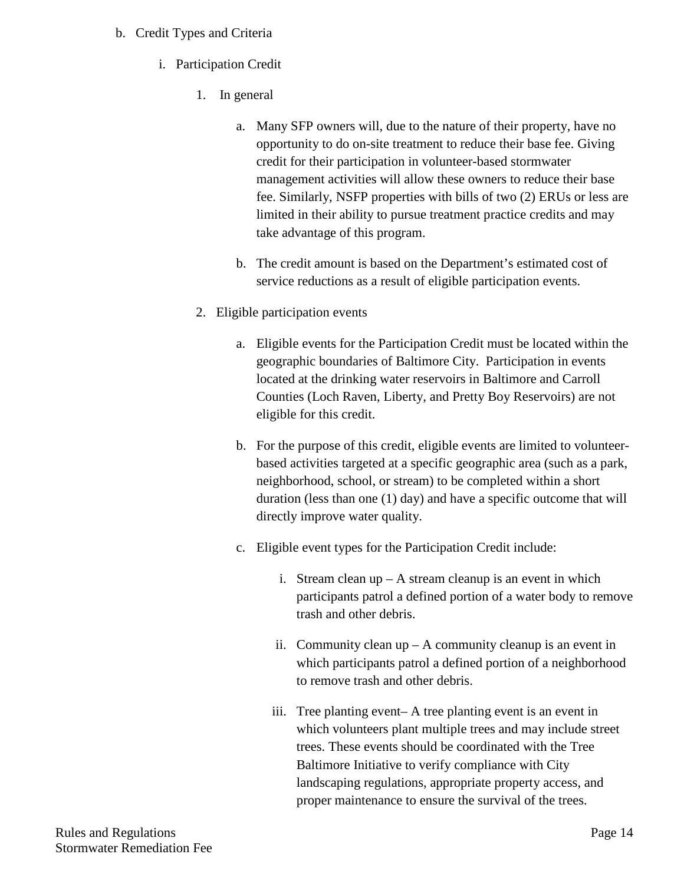## b. Credit Types and Criteria

- i. Participation Credit
	- 1. In general
		- a. Many SFP owners will, due to the nature of their property, have no opportunity to do on-site treatment to reduce their base fee. Giving credit for their participation in volunteer-based stormwater management activities will allow these owners to reduce their base fee. Similarly, NSFP properties with bills of two (2) ERUs or less are limited in their ability to pursue treatment practice credits and may take advantage of this program.
		- b. The credit amount is based on the Department's estimated cost of service reductions as a result of eligible participation events.
	- 2. Eligible participation events
		- a. Eligible events for the Participation Credit must be located within the geographic boundaries of Baltimore City. Participation in events located at the drinking water reservoirs in Baltimore and Carroll Counties (Loch Raven, Liberty, and Pretty Boy Reservoirs) are not eligible for this credit.
		- b. For the purpose of this credit, eligible events are limited to volunteerbased activities targeted at a specific geographic area (such as a park, neighborhood, school, or stream) to be completed within a short duration (less than one (1) day) and have a specific outcome that will directly improve water quality.
		- c. Eligible event types for the Participation Credit include:
			- i. Stream clean up A stream cleanup is an event in which participants patrol a defined portion of a water body to remove trash and other debris.
			- ii. Community clean  $up A$  community cleanup is an event in which participants patrol a defined portion of a neighborhood to remove trash and other debris.
			- iii. Tree planting event– A tree planting event is an event in which volunteers plant multiple trees and may include street trees. These events should be coordinated with the Tree Baltimore Initiative to verify compliance with City landscaping regulations, appropriate property access, and proper maintenance to ensure the survival of the trees.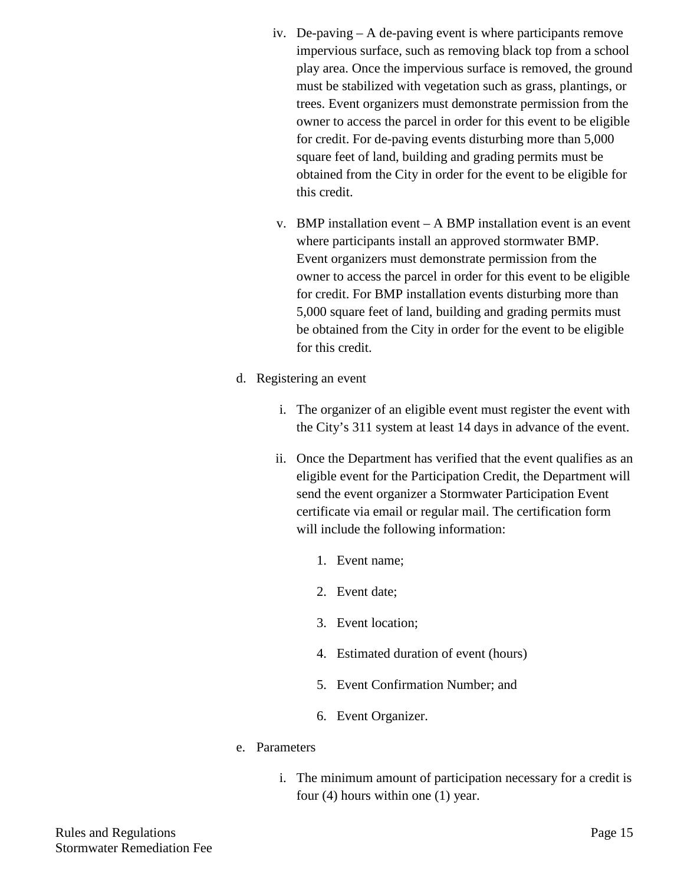- iv. De-paving A de-paving event is where participants remove impervious surface, such as removing black top from a school play area. Once the impervious surface is removed, the ground must be stabilized with vegetation such as grass, plantings, or trees. Event organizers must demonstrate permission from the owner to access the parcel in order for this event to be eligible for credit. For de-paving events disturbing more than 5,000 square feet of land, building and grading permits must be obtained from the City in order for the event to be eligible for this credit.
- v. BMP installation event A BMP installation event is an event where participants install an approved stormwater BMP. Event organizers must demonstrate permission from the owner to access the parcel in order for this event to be eligible for credit. For BMP installation events disturbing more than 5,000 square feet of land, building and grading permits must be obtained from the City in order for the event to be eligible for this credit.
- d. Registering an event
	- i. The organizer of an eligible event must register the event with the City's 311 system at least 14 days in advance of the event.
	- ii. Once the Department has verified that the event qualifies as an eligible event for the Participation Credit, the Department will send the event organizer a Stormwater Participation Event certificate via email or regular mail. The certification form will include the following information:
		- 1. Event name;
		- 2. Event date;
		- 3. Event location;
		- 4. Estimated duration of event (hours)
		- 5. Event Confirmation Number; and
		- 6. Event Organizer.
- e. Parameters
	- i. The minimum amount of participation necessary for a credit is four (4) hours within one (1) year.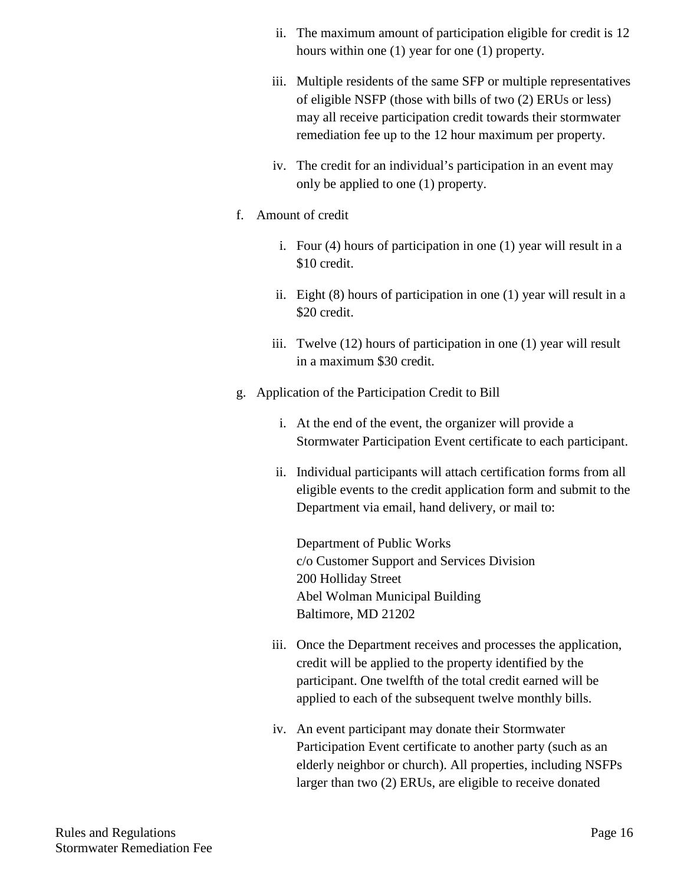- ii. The maximum amount of participation eligible for credit is 12 hours within one (1) year for one (1) property.
- iii. Multiple residents of the same SFP or multiple representatives of eligible NSFP (those with bills of two (2) ERUs or less) may all receive participation credit towards their stormwater remediation fee up to the 12 hour maximum per property.
- iv. The credit for an individual's participation in an event may only be applied to one (1) property.
- f. Amount of credit
	- i. Four (4) hours of participation in one (1) year will result in a \$10 credit.
	- ii. Eight (8) hours of participation in one (1) year will result in a \$20 credit.
	- iii. Twelve (12) hours of participation in one (1) year will result in a maximum \$30 credit.
- g. Application of the Participation Credit to Bill
	- i. At the end of the event, the organizer will provide a Stormwater Participation Event certificate to each participant.
	- ii. Individual participants will attach certification forms from all eligible events to the credit application form and submit to the Department via email, hand delivery, or mail to:

Department of Public Works c/o Customer Support and Services Division 200 Holliday Street Abel Wolman Municipal Building Baltimore, MD 21202

- iii. Once the Department receives and processes the application, credit will be applied to the property identified by the participant. One twelfth of the total credit earned will be applied to each of the subsequent twelve monthly bills.
- iv. An event participant may donate their Stormwater Participation Event certificate to another party (such as an elderly neighbor or church). All properties, including NSFPs larger than two (2) ERUs, are eligible to receive donated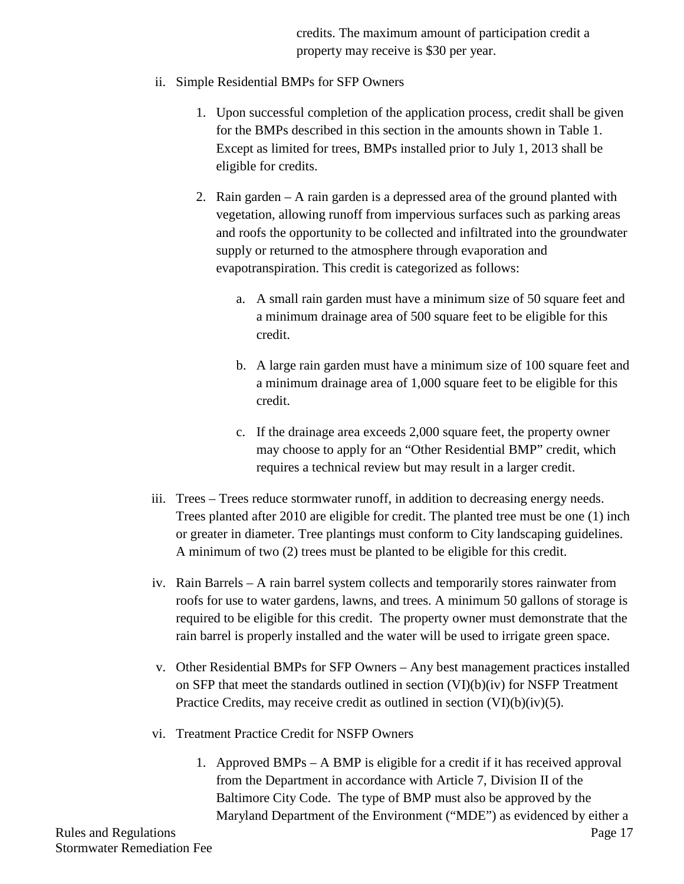credits. The maximum amount of participation credit a property may receive is \$30 per year.

- ii. Simple Residential BMPs for SFP Owners
	- 1. Upon successful completion of the application process, credit shall be given for the BMPs described in this section in the amounts shown in Table 1. Except as limited for trees, BMPs installed prior to July 1, 2013 shall be eligible for credits.
	- 2. Rain garden A rain garden is a depressed area of the ground planted with vegetation, allowing runoff from impervious surfaces such as parking areas and roofs the opportunity to be collected and infiltrated into the groundwater supply or returned to the atmosphere through evaporation and evapotranspiration. This credit is categorized as follows:
		- a. A small rain garden must have a minimum size of 50 square feet and a minimum drainage area of 500 square feet to be eligible for this credit.
		- b. A large rain garden must have a minimum size of 100 square feet and a minimum drainage area of 1,000 square feet to be eligible for this credit.
		- c. If the drainage area exceeds 2,000 square feet, the property owner may choose to apply for an "Other Residential BMP" credit, which requires a technical review but may result in a larger credit.
- iii. Trees Trees reduce stormwater runoff, in addition to decreasing energy needs. Trees planted after 2010 are eligible for credit. The planted tree must be one (1) inch or greater in diameter. Tree plantings must conform to City landscaping guidelines. A minimum of two (2) trees must be planted to be eligible for this credit.
- iv. Rain Barrels A rain barrel system collects and temporarily stores rainwater from roofs for use to water gardens, lawns, and trees. A minimum 50 gallons of storage is required to be eligible for this credit. The property owner must demonstrate that the rain barrel is properly installed and the water will be used to irrigate green space.
- v. Other Residential BMPs for SFP Owners Any best management practices installed on SFP that meet the standards outlined in section  $(VI)(b)(iv)$  for NSFP Treatment Practice Credits, may receive credit as outlined in section (VI)(b)(iv)(5).
- vi. Treatment Practice Credit for NSFP Owners
	- 1. Approved BMPs A BMP is eligible for a credit if it has received approval from the Department in accordance with Article 7, Division II of the Baltimore City Code. The type of BMP must also be approved by the Maryland Department of the Environment ("MDE") as evidenced by either a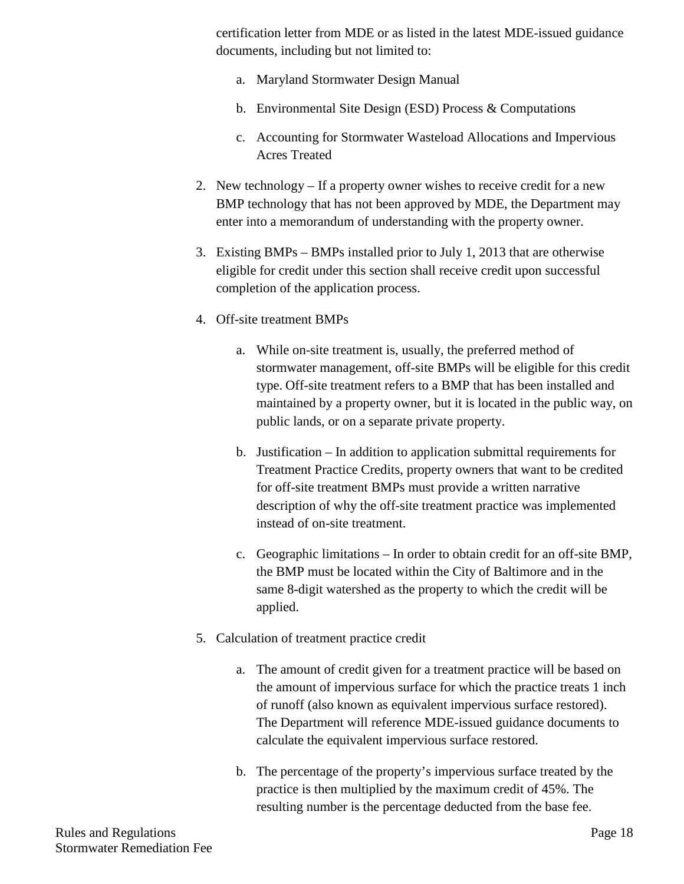certification letter from MDE or as listed in the latest MDE-issued guidance documents, including but not limited to:

- a. Maryland Stormwater Design Manual
- b. Environmental Site Design (ESD) Process & Computations
- c. Accounting for Stormwater Wasteload Allocations and Impervious Acres Treated
- 2. New technology If a property owner wishes to receive credit for a new BMP technology that has not been approved by MDE, the Department may enter into a memorandum of understanding with the property owner.
- 3. Existing BMPs BMPs installed prior to July 1, 2013 that are otherwise eligible for credit under this section shall receive credit upon successful completion of the application process.
- 4. Off-site treatment BMPs
	- a. While on-site treatment is, usually, the preferred method of stormwater management, off-site BMPs will be eligible for this credit type. Off-site treatment refers to a BMP that has been installed and maintained by a property owner, but it is located in the public way, on public lands, or on a separate private property.
	- b. Justification In addition to application submittal requirements for Treatment Practice Credits, property owners that want to be credited for off-site treatment BMPs must provide a written narrative description of why the off-site treatment practice was implemented instead of on-site treatment.
	- c. Geographic limitations In order to obtain credit for an off-site BMP, the BMP must be located within the City of Baltimore and in the same 8-digit watershed as the property to which the credit will be applied.
- 5. Calculation of treatment practice credit
	- a. The amount of credit given for a treatment practice will be based on the amount of impervious surface for which the practice treats 1 inch of runoff (also known as equivalent impervious surface restored). The Department will reference MDE-issued guidance documents to calculate the equivalent impervious surface restored.
	- b. The percentage of the property's impervious surface treated by the practice is then multiplied by the maximum credit of 45%. The resulting number is the percentage deducted from the base fee.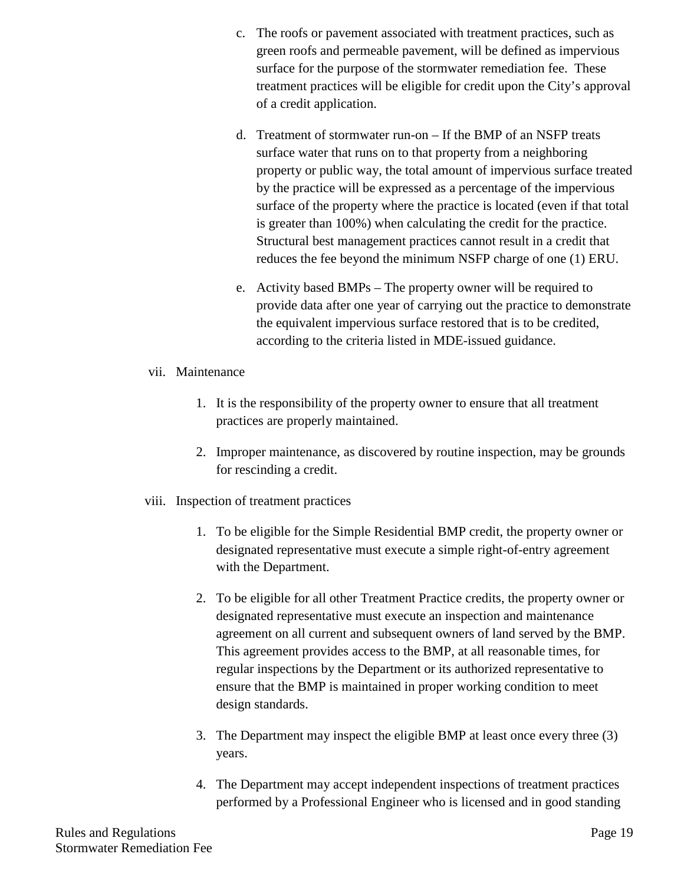- c. The roofs or pavement associated with treatment practices, such as green roofs and permeable pavement, will be defined as impervious surface for the purpose of the stormwater remediation fee. These treatment practices will be eligible for credit upon the City's approval of a credit application.
- d. Treatment of stormwater run-on If the BMP of an NSFP treats surface water that runs on to that property from a neighboring property or public way, the total amount of impervious surface treated by the practice will be expressed as a percentage of the impervious surface of the property where the practice is located (even if that total is greater than 100%) when calculating the credit for the practice. Structural best management practices cannot result in a credit that reduces the fee beyond the minimum NSFP charge of one (1) ERU.
- e. Activity based BMPs The property owner will be required to provide data after one year of carrying out the practice to demonstrate the equivalent impervious surface restored that is to be credited, according to the criteria listed in MDE-issued guidance.
- vii. Maintenance
	- 1. It is the responsibility of the property owner to ensure that all treatment practices are properly maintained.
	- 2. Improper maintenance, as discovered by routine inspection, may be grounds for rescinding a credit.
- viii. Inspection of treatment practices
	- 1. To be eligible for the Simple Residential BMP credit, the property owner or designated representative must execute a simple right-of-entry agreement with the Department.
	- 2. To be eligible for all other Treatment Practice credits, the property owner or designated representative must execute an inspection and maintenance agreement on all current and subsequent owners of land served by the BMP. This agreement provides access to the BMP, at all reasonable times, for regular inspections by the Department or its authorized representative to ensure that the BMP is maintained in proper working condition to meet design standards.
	- 3. The Department may inspect the eligible BMP at least once every three (3) years.
	- 4. The Department may accept independent inspections of treatment practices performed by a Professional Engineer who is licensed and in good standing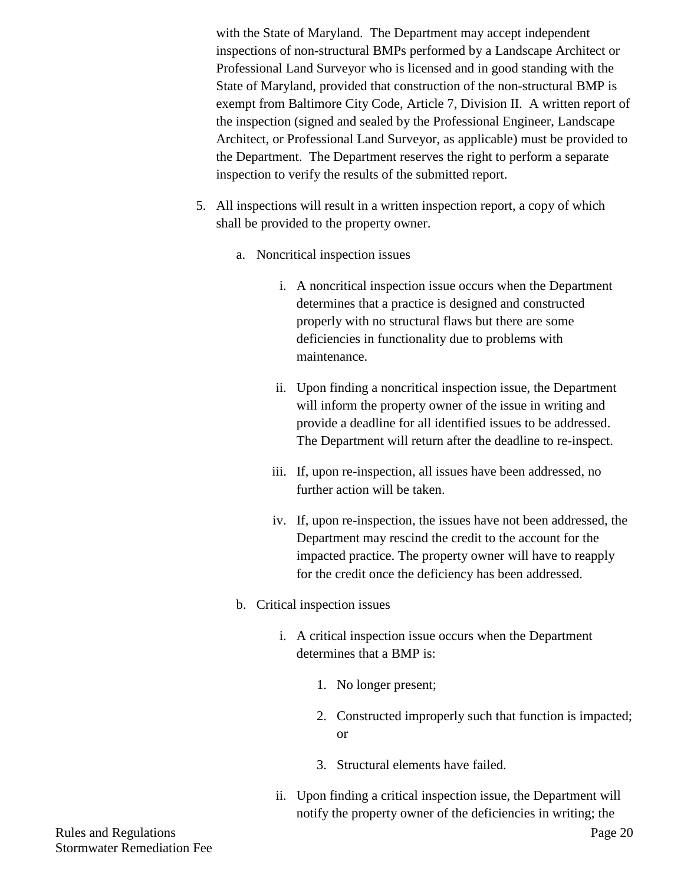with the State of Maryland. The Department may accept independent inspections of non-structural BMPs performed by a Landscape Architect or Professional Land Surveyor who is licensed and in good standing with the State of Maryland, provided that construction of the non-structural BMP is exempt from Baltimore City Code, Article 7, Division II. A written report of the inspection (signed and sealed by the Professional Engineer, Landscape Architect, or Professional Land Surveyor, as applicable) must be provided to the Department. The Department reserves the right to perform a separate inspection to verify the results of the submitted report.

- 5. All inspections will result in a written inspection report, a copy of which shall be provided to the property owner.
	- a. Noncritical inspection issues
		- i. A noncritical inspection issue occurs when the Department determines that a practice is designed and constructed properly with no structural flaws but there are some deficiencies in functionality due to problems with maintenance.
		- ii. Upon finding a noncritical inspection issue, the Department will inform the property owner of the issue in writing and provide a deadline for all identified issues to be addressed. The Department will return after the deadline to re-inspect.
		- iii. If, upon re-inspection, all issues have been addressed, no further action will be taken.
		- iv. If, upon re-inspection, the issues have not been addressed, the Department may rescind the credit to the account for the impacted practice. The property owner will have to reapply for the credit once the deficiency has been addressed.
	- b. Critical inspection issues
		- i. A critical inspection issue occurs when the Department determines that a BMP is:
			- 1. No longer present;
			- 2. Constructed improperly such that function is impacted; or
			- 3. Structural elements have failed.
		- ii. Upon finding a critical inspection issue, the Department will notify the property owner of the deficiencies in writing; the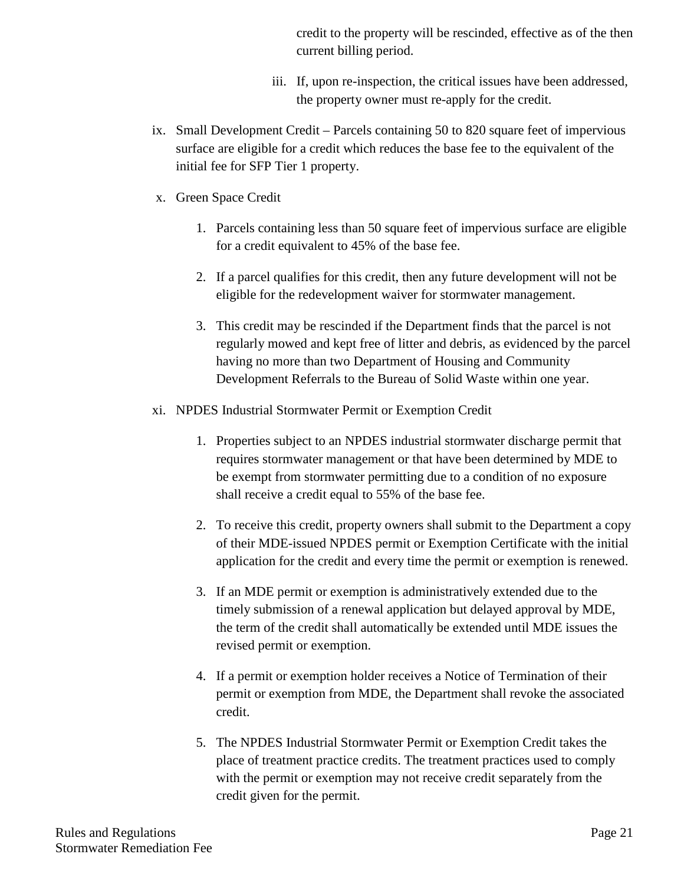credit to the property will be rescinded, effective as of the then current billing period.

- iii. If, upon re-inspection, the critical issues have been addressed, the property owner must re-apply for the credit.
- ix. Small Development Credit Parcels containing 50 to 820 square feet of impervious surface are eligible for a credit which reduces the base fee to the equivalent of the initial fee for SFP Tier 1 property.
- x. Green Space Credit
	- 1. Parcels containing less than 50 square feet of impervious surface are eligible for a credit equivalent to 45% of the base fee.
	- 2. If a parcel qualifies for this credit, then any future development will not be eligible for the redevelopment waiver for stormwater management.
	- 3. This credit may be rescinded if the Department finds that the parcel is not regularly mowed and kept free of litter and debris, as evidenced by the parcel having no more than two Department of Housing and Community Development Referrals to the Bureau of Solid Waste within one year.
- xi. NPDES Industrial Stormwater Permit or Exemption Credit
	- 1. Properties subject to an NPDES industrial stormwater discharge permit that requires stormwater management or that have been determined by MDE to be exempt from stormwater permitting due to a condition of no exposure shall receive a credit equal to 55% of the base fee.
	- 2. To receive this credit, property owners shall submit to the Department a copy of their MDE-issued NPDES permit or Exemption Certificate with the initial application for the credit and every time the permit or exemption is renewed.
	- 3. If an MDE permit or exemption is administratively extended due to the timely submission of a renewal application but delayed approval by MDE, the term of the credit shall automatically be extended until MDE issues the revised permit or exemption.
	- 4. If a permit or exemption holder receives a Notice of Termination of their permit or exemption from MDE, the Department shall revoke the associated credit.
	- 5. The NPDES Industrial Stormwater Permit or Exemption Credit takes the place of treatment practice credits. The treatment practices used to comply with the permit or exemption may not receive credit separately from the credit given for the permit.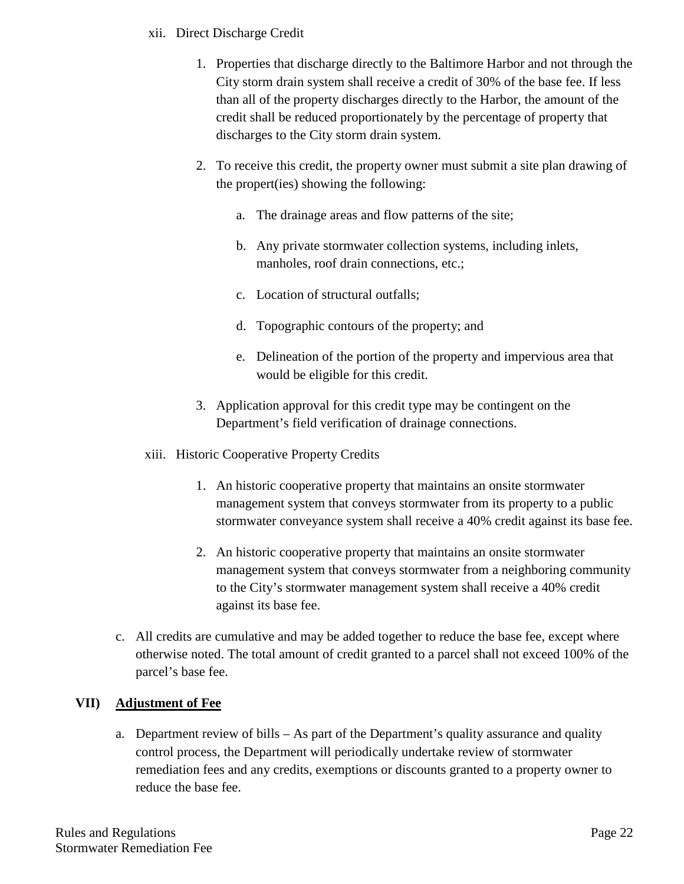## xii. Direct Discharge Credit

- 1. Properties that discharge directly to the Baltimore Harbor and not through the City storm drain system shall receive a credit of 30% of the base fee. If less than all of the property discharges directly to the Harbor, the amount of the credit shall be reduced proportionately by the percentage of property that discharges to the City storm drain system.
- 2. To receive this credit, the property owner must submit a site plan drawing of the propert(ies) showing the following:
	- a. The drainage areas and flow patterns of the site;
	- b. Any private stormwater collection systems, including inlets, manholes, roof drain connections, etc.;
	- c. Location of structural outfalls;
	- d. Topographic contours of the property; and
	- e. Delineation of the portion of the property and impervious area that would be eligible for this credit.
- 3. Application approval for this credit type may be contingent on the Department's field verification of drainage connections.
- xiii. Historic Cooperative Property Credits
	- 1. An historic cooperative property that maintains an onsite stormwater management system that conveys stormwater from its property to a public stormwater conveyance system shall receive a 40% credit against its base fee.
	- 2. An historic cooperative property that maintains an onsite stormwater management system that conveys stormwater from a neighboring community to the City's stormwater management system shall receive a 40% credit against its base fee.
- c. All credits are cumulative and may be added together to reduce the base fee, except where otherwise noted. The total amount of credit granted to a parcel shall not exceed 100% of the parcel's base fee.

# **VII) Adjustment of Fee**

a. Department review of bills – As part of the Department's quality assurance and quality control process, the Department will periodically undertake review of stormwater remediation fees and any credits, exemptions or discounts granted to a property owner to reduce the base fee.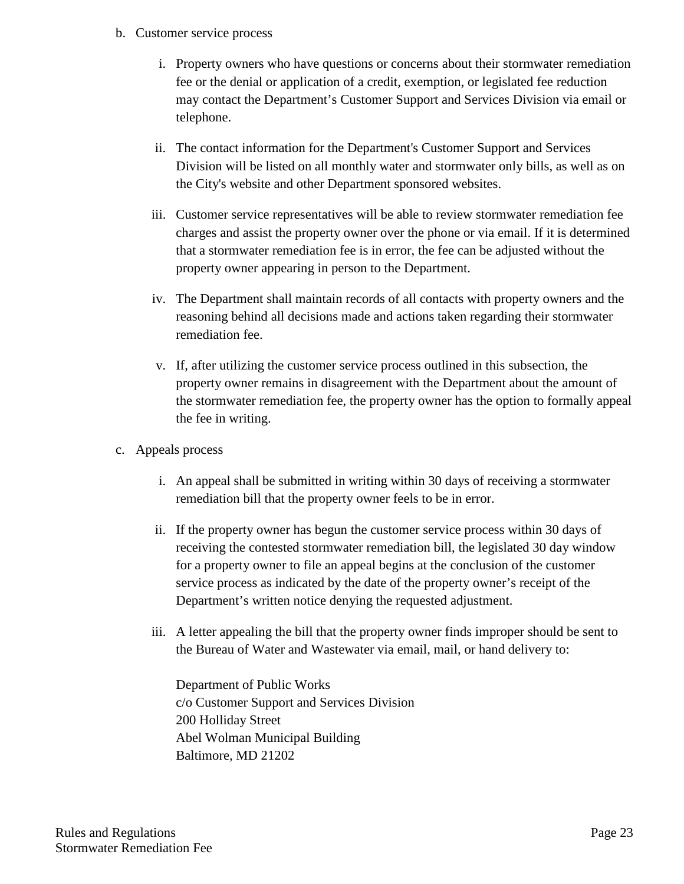- b. Customer service process
	- i. Property owners who have questions or concerns about their stormwater remediation fee or the denial or application of a credit, exemption, or legislated fee reduction may contact the Department's Customer Support and Services Division via email or telephone.
	- ii. The contact information for the Department's Customer Support and Services Division will be listed on all monthly water and stormwater only bills, as well as on the City's website and other Department sponsored websites.
	- iii. Customer service representatives will be able to review stormwater remediation fee charges and assist the property owner over the phone or via email. If it is determined that a stormwater remediation fee is in error, the fee can be adjusted without the property owner appearing in person to the Department.
	- iv. The Department shall maintain records of all contacts with property owners and the reasoning behind all decisions made and actions taken regarding their stormwater remediation fee.
	- v. If, after utilizing the customer service process outlined in this subsection, the property owner remains in disagreement with the Department about the amount of the stormwater remediation fee, the property owner has the option to formally appeal the fee in writing.
- c. Appeals process
	- i. An appeal shall be submitted in writing within 30 days of receiving a stormwater remediation bill that the property owner feels to be in error.
	- ii. If the property owner has begun the customer service process within 30 days of receiving the contested stormwater remediation bill, the legislated 30 day window for a property owner to file an appeal begins at the conclusion of the customer service process as indicated by the date of the property owner's receipt of the Department's written notice denying the requested adjustment.
	- iii. A letter appealing the bill that the property owner finds improper should be sent to the Bureau of Water and Wastewater via email, mail, or hand delivery to:

Department of Public Works c/o Customer Support and Services Division 200 Holliday Street Abel Wolman Municipal Building Baltimore, MD 21202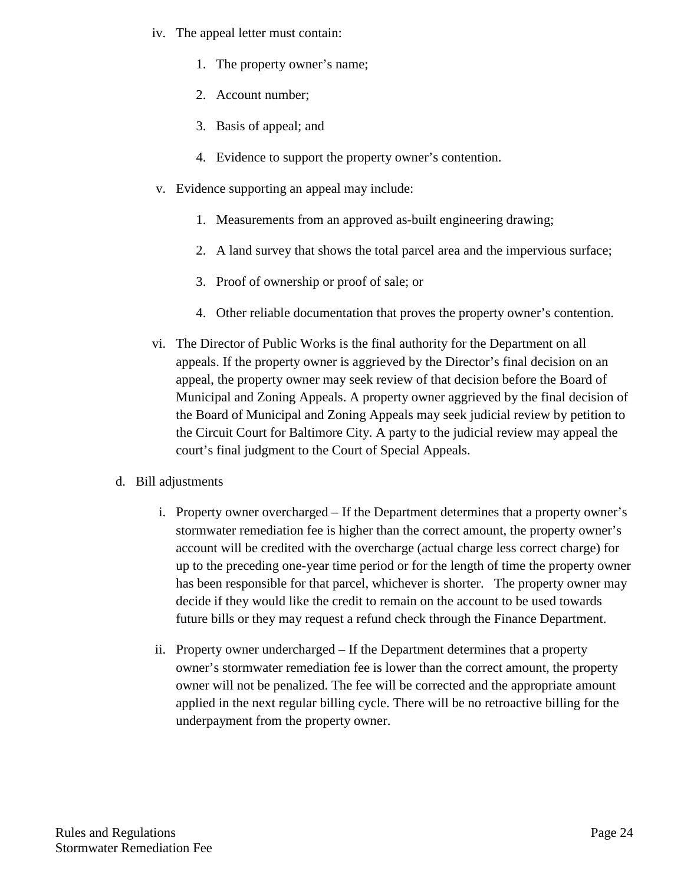- iv. The appeal letter must contain:
	- 1. The property owner's name;
	- 2. Account number;
	- 3. Basis of appeal; and
	- 4. Evidence to support the property owner's contention.
- v. Evidence supporting an appeal may include:
	- 1. Measurements from an approved as-built engineering drawing;
	- 2. A land survey that shows the total parcel area and the impervious surface;
	- 3. Proof of ownership or proof of sale; or
	- 4. Other reliable documentation that proves the property owner's contention.
- vi. The Director of Public Works is the final authority for the Department on all appeals. If the property owner is aggrieved by the Director's final decision on an appeal, the property owner may seek review of that decision before the Board of Municipal and Zoning Appeals. A property owner aggrieved by the final decision of the Board of Municipal and Zoning Appeals may seek judicial review by petition to the Circuit Court for Baltimore City. A party to the judicial review may appeal the court's final judgment to the Court of Special Appeals.
- d. Bill adjustments
	- i. Property owner overcharged If the Department determines that a property owner's stormwater remediation fee is higher than the correct amount, the property owner's account will be credited with the overcharge (actual charge less correct charge) for up to the preceding one-year time period or for the length of time the property owner has been responsible for that parcel, whichever is shorter. The property owner may decide if they would like the credit to remain on the account to be used towards future bills or they may request a refund check through the Finance Department.
	- ii. Property owner undercharged If the Department determines that a property owner's stormwater remediation fee is lower than the correct amount, the property owner will not be penalized. The fee will be corrected and the appropriate amount applied in the next regular billing cycle. There will be no retroactive billing for the underpayment from the property owner.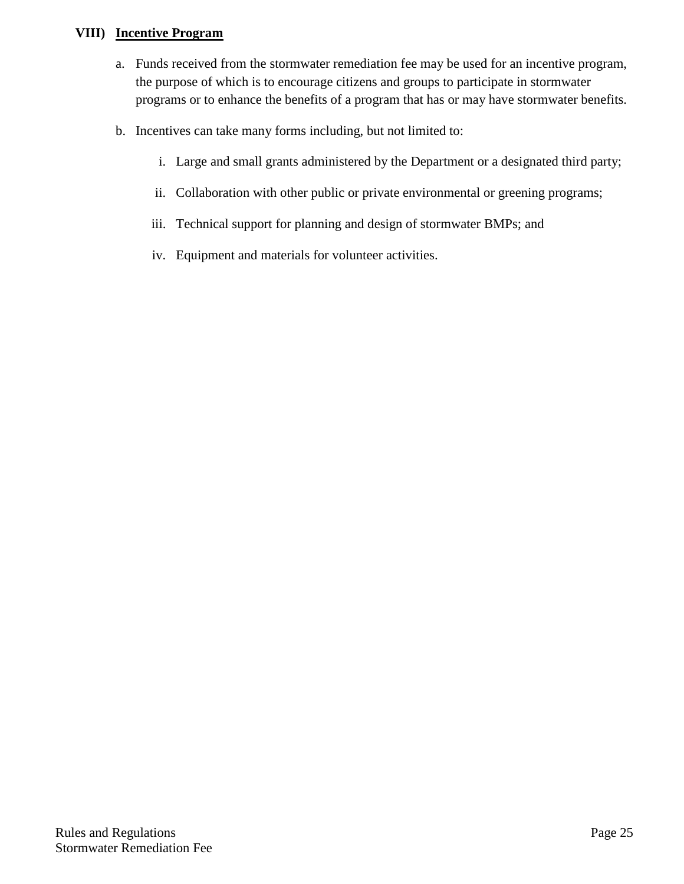## **VIII) Incentive Program**

- a. Funds received from the stormwater remediation fee may be used for an incentive program, the purpose of which is to encourage citizens and groups to participate in stormwater programs or to enhance the benefits of a program that has or may have stormwater benefits.
- b. Incentives can take many forms including, but not limited to:
	- i. Large and small grants administered by the Department or a designated third party;
	- ii. Collaboration with other public or private environmental or greening programs;
	- iii. Technical support for planning and design of stormwater BMPs; and
	- iv. Equipment and materials for volunteer activities.